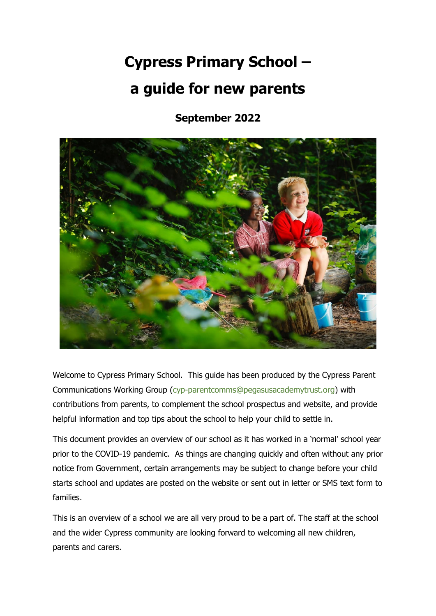# **Cypress Primary School – a guide for new parents**

**September 2022**



Welcome to Cypress Primary School. This guide has been produced by the Cypress Parent Communications Working Group [\(cyp-parentcomms@pegasusacademytrust.org\)](about:blank) with contributions from parents, to complement the school prospectus and website, and provide helpful information and top tips about the school to help your child to settle in.

This document provides an overview of our school as it has worked in a 'normal' school year prior to the COVID-19 pandemic. As things are changing quickly and often without any prior notice from Government, certain arrangements may be subject to change before your child starts school and updates are posted on the website or sent out in letter or SMS text form to families.

This is an overview of a school we are all very proud to be a part of. The staff at the school and the wider Cypress community are looking forward to welcoming all new children, parents and carers.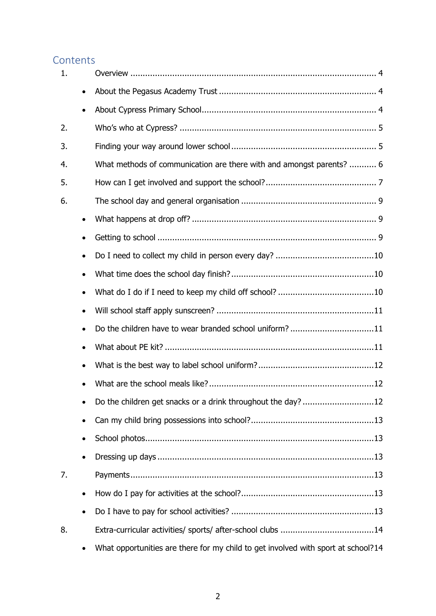# **Contents**

| 1. |           |                                                                                   |
|----|-----------|-----------------------------------------------------------------------------------|
|    | $\bullet$ |                                                                                   |
|    |           |                                                                                   |
| 2. |           |                                                                                   |
| 3. |           |                                                                                   |
| 4. |           | What methods of communication are there with and amongst parents?  6              |
| 5. |           |                                                                                   |
| 6. |           |                                                                                   |
|    | $\bullet$ |                                                                                   |
|    |           |                                                                                   |
|    |           |                                                                                   |
|    |           |                                                                                   |
|    |           |                                                                                   |
|    |           |                                                                                   |
|    |           | Do the children have to wear branded school uniform? 11                           |
|    |           |                                                                                   |
|    |           |                                                                                   |
|    |           |                                                                                   |
|    | $\bullet$ | Do the children get snacks or a drink throughout the day?12                       |
|    | ٠         |                                                                                   |
|    | $\bullet$ |                                                                                   |
|    |           |                                                                                   |
| 7. |           |                                                                                   |
|    | $\bullet$ |                                                                                   |
|    | $\bullet$ |                                                                                   |
| 8. |           |                                                                                   |
|    | $\bullet$ | What opportunities are there for my child to get involved with sport at school?14 |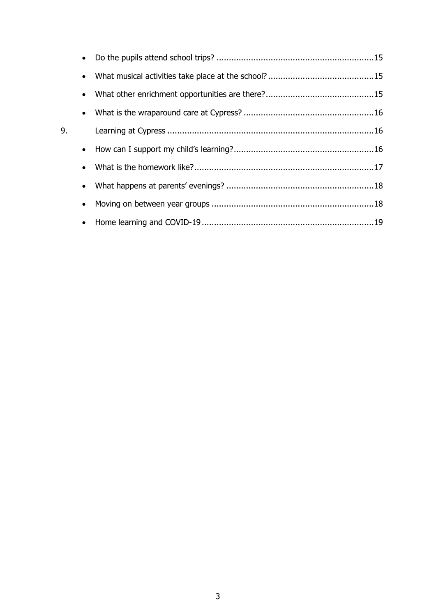| 9. |  |  |
|----|--|--|
|    |  |  |
|    |  |  |
|    |  |  |
|    |  |  |
|    |  |  |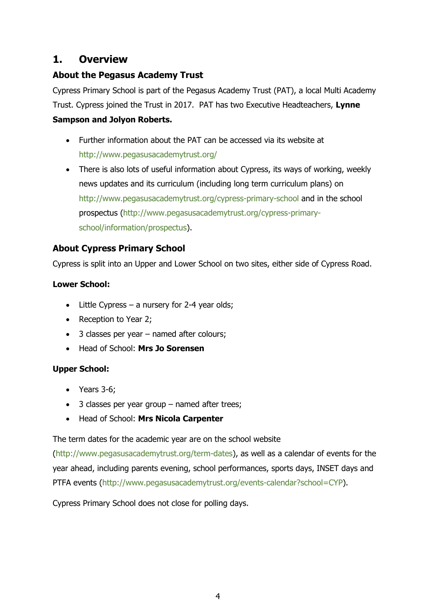# <span id="page-3-0"></span>**1. Overview**

# <span id="page-3-1"></span>**About the Pegasus Academy Trust**

Cypress Primary School is part of the Pegasus Academy Trust (PAT), a local Multi Academy Trust. Cypress joined the Trust in 2017. PAT has two Executive Headteachers, **Lynne Sampson and Jolyon Roberts.** 

- Further information about the PAT can be accessed via its website at [http://www.pegasusacademytrust.org/](about:blank)
- There is also lots of useful information about Cypress, its ways of working, weekly news updates and its curriculum (including long term curriculum plans) on http://www.pegasusacademytrust.org/cypress-primary-school and in the school prospectus [\(http://www.pegasusacademytrust.org/cypress-primary](about:blank)[school/information/prospectus\)](about:blank).

# <span id="page-3-2"></span>**About Cypress Primary School**

Cypress is split into an Upper and Lower School on two sites, either side of Cypress Road.

# **Lower School:**

- $\bullet$  Little Cypress a nursery for 2-4 year olds;
- Reception to Year 2;
- 3 classes per year named after colours;
- Head of School: **Mrs Jo Sorensen**

# **Upper School:**

- Years 3-6:
- 3 classes per year group named after trees;
- Head of School: **Mrs Nicola Carpenter**

The term dates for the academic year are on the school website

[\(http://www.pegasusacademytrust.org/term-dates\)](about:blank), as well as a calendar of events for the year ahead, including parents evening, school performances, sports days, INSET days and PTFA events [\(http://www.pegasusacademytrust.org/events-calendar?school=CYP\)](about:blank).

Cypress Primary School does not close for polling days.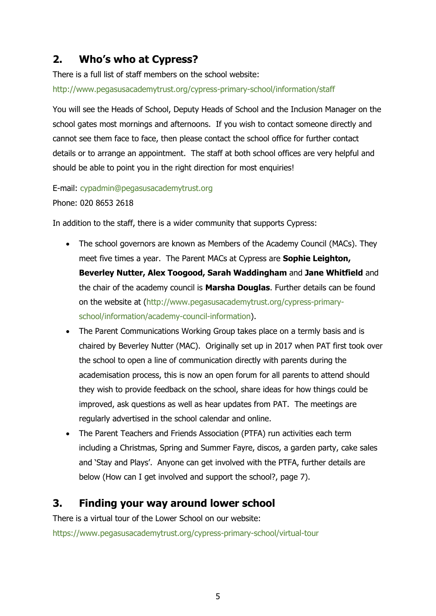# <span id="page-4-0"></span>**2. Who's who at Cypress?**

There is a full list of staff members on the school website:

[http://www.pegasusacademytrust.org/cypress-primary-school/information/staff](about:blank)

You will see the Heads of School, Deputy Heads of School and the Inclusion Manager on the school gates most mornings and afternoons. If you wish to contact someone directly and cannot see them face to face, then please contact the school office for further contact details or to arrange an appointment. The staff at both school offices are very helpful and should be able to point you in the right direction for most enquiries!

E-mail: [cypadmin@pegasusacademytrust.org](about:blank) Phone: 020 8653 2618

In addition to the staff, there is a wider community that supports Cypress:

- The school governors are known as Members of the Academy Council (MACs). They meet five times a year. The Parent MACs at Cypress are **Sophie Leighton, Beverley Nutter, Alex Toogood, Sarah Waddingham** and **Jane Whitfield** and the chair of the academy council is **Marsha Douglas**. Further details can be found on the website at [\(http://www.pegasusacademytrust.org/cypress-primary](about:blank)[school/information/academy-council-information\)](about:blank).
- The Parent Communications Working Group takes place on a termly basis and is chaired by Beverley Nutter (MAC). Originally set up in 2017 when PAT first took over the school to open a line of communication directly with parents during the academisation process, this is now an open forum for all parents to attend should they wish to provide feedback on the school, share ideas for how things could be improved, ask questions as well as hear updates from PAT. The meetings are regularly advertised in the school calendar and online.
- The Parent Teachers and Friends Association (PTFA) run activities each term including a Christmas, Spring and Summer Fayre, discos, a garden party, cake sales and 'Stay and Plays'. Anyone can get involved with the PTFA, further details are below (How can I get involved and support the school?, page 7).

# <span id="page-4-1"></span>**3. Finding your way around lower school**

There is a virtual tour of the Lower School on our website:

<https://www.pegasusacademytrust.org/cypress-primary-school/virtual-tour>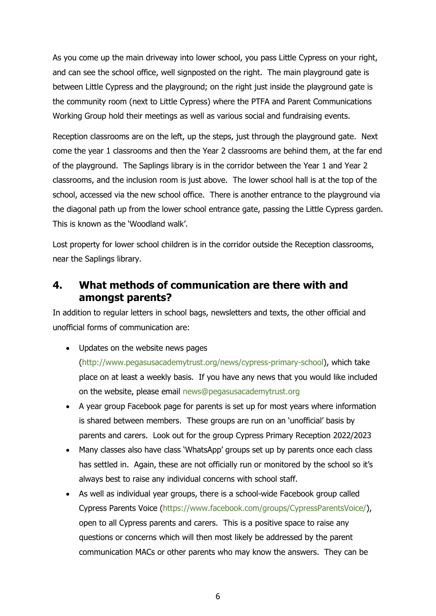As you come up the main driveway into lower school, you pass Little Cypress on your right, and can see the school office, well signposted on the right. The main playground gate is between Little Cypress and the playground; on the right just inside the playground gate is the community room (next to Little Cypress) where the PTFA and Parent Communications Working Group hold their meetings as well as various social and fundraising events.

Reception classrooms are on the left, up the steps, just through the playground gate. Next come the year 1 classrooms and then the Year 2 classrooms are behind them, at the far end of the playground. The Saplings library is in the corridor between the Year 1 and Year 2 classrooms, and the inclusion room is just above. The lower school hall is at the top of the school, accessed via the new school office. There is another entrance to the playground via the diagonal path up from the lower school entrance gate, passing the Little Cypress garden. This is known as the 'Woodland walk'.

Lost property for lower school children is in the corridor outside the Reception classrooms, near the Saplings library.

# <span id="page-5-0"></span>**4. What methods of communication are there with and amongst parents?**

In addition to regular letters in school bags, newsletters and texts, the other official and unofficial forms of communication are:

• Updates on the website news pages

[\(http://www.pegasusacademytrust.org/news/cypress-primary-school\)](about:blank), which take place on at least a weekly basis. If you have any news that you would like included on the website, please email [news@pegasusacademytrust.org](about:blank) 

- A year group Facebook page for parents is set up for most years where information is shared between members. These groups are run on an 'unofficial' basis by parents and carers. Look out for the group Cypress Primary Reception 2022/2023
- Many classes also have class 'WhatsApp' groups set up by parents once each class has settled in. Again, these are not officially run or monitored by the school so it's always best to raise any individual concerns with school staff.
- As well as individual year groups, there is a school-wide Facebook group called Cypress Parents Voice [\(https://www.facebook.com/groups/CypressParentsVoice/\)](about:blank), open to all Cypress parents and carers. This is a positive space to raise any questions or concerns which will then most likely be addressed by the parent communication MACs or other parents who may know the answers. They can be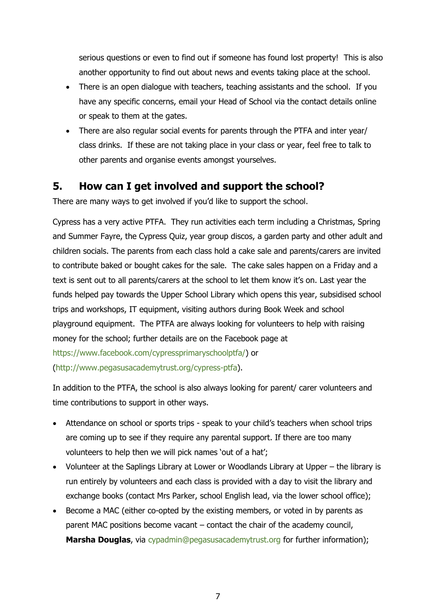serious questions or even to find out if someone has found lost property! This is also another opportunity to find out about news and events taking place at the school.

- There is an open dialogue with teachers, teaching assistants and the school. If you have any specific concerns, email your Head of School via the contact details online or speak to them at the gates.
- There are also regular social events for parents through the PTFA and inter year/ class drinks. If these are not taking place in your class or year, feel free to talk to other parents and organise events amongst yourselves.

# <span id="page-6-0"></span>**5. How can I get involved and support the school?**

There are many ways to get involved if you'd like to support the school.

Cypress has a very active PTFA. They run activities each term including a Christmas, Spring and Summer Fayre, the Cypress Quiz, year group discos, a garden party and other adult and children socials. The parents from each class hold a cake sale and parents/carers are invited to contribute baked or bought cakes for the sale. The cake sales happen on a Friday and a text is sent out to all parents/carers at the school to let them know it's on. Last year the funds helped pay towards the Upper School Library which opens this year, subsidised school trips and workshops, IT equipment, visiting authors during Book Week and school playground equipment. The PTFA are always looking for volunteers to help with raising money for the school; further details are on the Facebook page at [https://www.facebook.com/cypressprimaryschoolptfa/\)](about:blank) or

[\(http://www.pegasusacademytrust.org/cypress-ptfa\)](about:blank).

In addition to the PTFA, the school is also always looking for parent/ carer volunteers and time contributions to support in other ways.

- Attendance on school or sports trips speak to your child's teachers when school trips are coming up to see if they require any parental support. If there are too many volunteers to help then we will pick names 'out of a hat';
- Volunteer at the Saplings Library at Lower or Woodlands Library at Upper the library is run entirely by volunteers and each class is provided with a day to visit the library and exchange books (contact Mrs Parker, school English lead, via the lower school office);
- Become a MAC (either co-opted by the existing members, or voted in by parents as parent MAC positions become vacant – contact the chair of the academy council, **Marsha Douglas**, via [cypadmin@pegasusacademytrust.org](about:blank) for further information);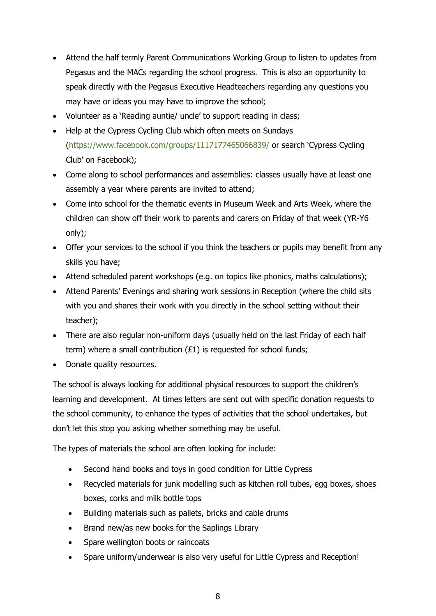- Attend the half termly Parent Communications Working Group to listen to updates from Pegasus and the MACs regarding the school progress. This is also an opportunity to speak directly with the Pegasus Executive Headteachers regarding any questions you may have or ideas you may have to improve the school;
- Volunteer as a 'Reading auntie/ uncle' to support reading in class;
- Help at the Cypress Cycling Club which often meets on Sundays [\(https://www.facebook.com/groups/1117177465066839/](about:blank) or search 'Cypress Cycling Club' on Facebook);
- Come along to school performances and assemblies: classes usually have at least one assembly a year where parents are invited to attend;
- Come into school for the thematic events in Museum Week and Arts Week, where the children can show off their work to parents and carers on Friday of that week (YR-Y6 only);
- Offer your services to the school if you think the teachers or pupils may benefit from any skills you have;
- Attend scheduled parent workshops (e.g. on topics like phonics, maths calculations);
- Attend Parents' Evenings and sharing work sessions in Reception (where the child sits with you and shares their work with you directly in the school setting without their teacher);
- There are also regular non-uniform days (usually held on the last Friday of each half term) where a small contribution  $(E1)$  is requested for school funds;
- Donate quality resources.

The school is always looking for additional physical resources to support the children's learning and development. At times letters are sent out with specific donation requests to the school community, to enhance the types of activities that the school undertakes, but don't let this stop you asking whether something may be useful.

The types of materials the school are often looking for include:

- Second hand books and toys in good condition for Little Cypress
- Recycled materials for junk modelling such as kitchen roll tubes, egg boxes, shoes boxes, corks and milk bottle tops
- Building materials such as pallets, bricks and cable drums
- Brand new/as new books for the Saplings Library
- Spare wellington boots or raincoats
- Spare uniform/underwear is also very useful for Little Cypress and Reception!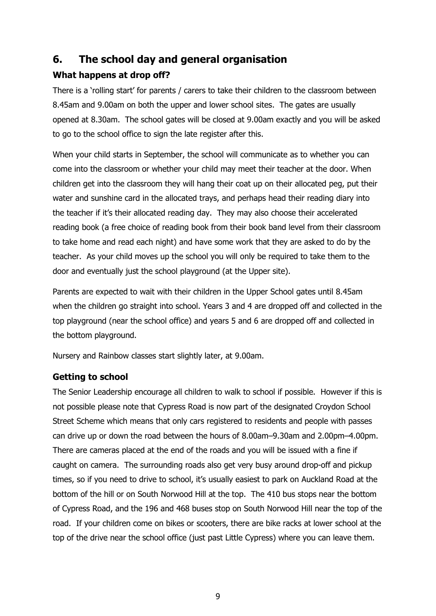# <span id="page-8-0"></span>**6. The school day and general organisation**

# <span id="page-8-1"></span>**What happens at drop off?**

There is a 'rolling start' for parents / carers to take their children to the classroom between 8.45am and 9.00am on both the upper and lower school sites. The gates are usually opened at 8.30am. The school gates will be closed at 9.00am exactly and you will be asked to go to the school office to sign the late register after this.

When your child starts in September, the school will communicate as to whether you can come into the classroom or whether your child may meet their teacher at the door. When children get into the classroom they will hang their coat up on their allocated peg, put their water and sunshine card in the allocated trays, and perhaps head their reading diary into the teacher if it's their allocated reading day. They may also choose their accelerated reading book (a free choice of reading book from their book band level from their classroom to take home and read each night) and have some work that they are asked to do by the teacher. As your child moves up the school you will only be required to take them to the door and eventually just the school playground (at the Upper site).

Parents are expected to wait with their children in the Upper School gates until 8.45am when the children go straight into school. Years 3 and 4 are dropped off and collected in the top playground (near the school office) and years 5 and 6 are dropped off and collected in the bottom playground.

Nursery and Rainbow classes start slightly later, at 9.00am.

# <span id="page-8-2"></span>**Getting to school**

The Senior Leadership encourage all children to walk to school if possible. However if this is not possible please note that Cypress Road is now part of the designated Croydon School Street Scheme which means that only cars registered to residents and people with passes can drive up or down the road between the hours of 8.00am–9.30am and 2.00pm–4.00pm. There are cameras placed at the end of the roads and you will be issued with a fine if caught on camera. The surrounding roads also get very busy around drop-off and pickup times, so if you need to drive to school, it's usually easiest to park on Auckland Road at the bottom of the hill or on South Norwood Hill at the top. The 410 bus stops near the bottom of Cypress Road, and the 196 and 468 buses stop on South Norwood Hill near the top of the road. If your children come on bikes or scooters, there are bike racks at lower school at the top of the drive near the school office (just past Little Cypress) where you can leave them.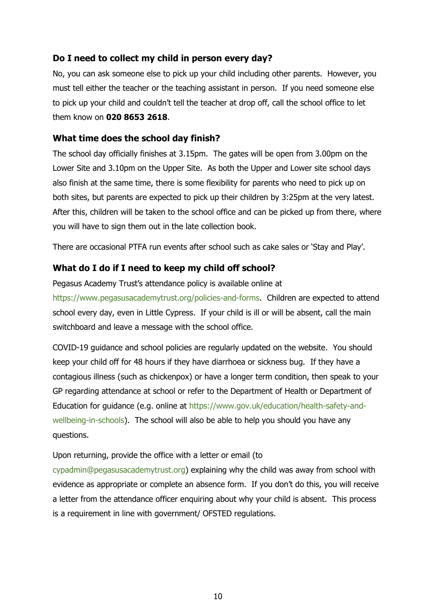# <span id="page-9-0"></span>**Do I need to collect my child in person every day?**

No, you can ask someone else to pick up your child including other parents. However, you must tell either the teacher or the teaching assistant in person. If you need someone else to pick up your child and couldn't tell the teacher at drop off, call the school office to let them know on **020 8653 2618**.

#### <span id="page-9-1"></span>**What time does the school day finish?**

The school day officially finishes at 3.15pm. The gates will be open from 3.00pm on the Lower Site and 3.10pm on the Upper Site. As both the Upper and Lower site school days also finish at the same time, there is some flexibility for parents who need to pick up on both sites, but parents are expected to pick up their children by 3:25pm at the very latest. After this, children will be taken to the school office and can be picked up from there, where you will have to sign them out in the late collection book.

There are occasional PTFA run events after school such as cake sales or 'Stay and Play'.

# <span id="page-9-2"></span>**What do I do if I need to keep my child off school?**

Pegasus Academy Trust's attendance policy is available online at [https://www.pegasusacademytrust.org/policies-and-forms.](about:blank) Children are expected to attend school every day, even in Little Cypress. If your child is ill or will be absent, call the main switchboard and leave a message with the school office.

COVID-19 guidance and school policies are regularly updated on the website. You should keep your child off for 48 hours if they have diarrhoea or sickness bug. If they have a contagious illness (such as chickenpox) or have a longer term condition, then speak to your GP regarding attendance at school or refer to the Department of Health or Department of Education for guidance (e.g. online at [https://www.gov.uk/education/health-safety-and](about:blank)[wellbeing-in-schools\)](about:blank). The school will also be able to help you should you have any questions.

#### Upon returning, provide the office with a letter or email (to

[cypadmin@pegasusacademytrust.org\)](about:blank) explaining why the child was away from school with evidence as appropriate or complete an absence form. If you don't do this, you will receive a letter from the attendance officer enquiring about why your child is absent. This process is a requirement in line with government/ OFSTED regulations.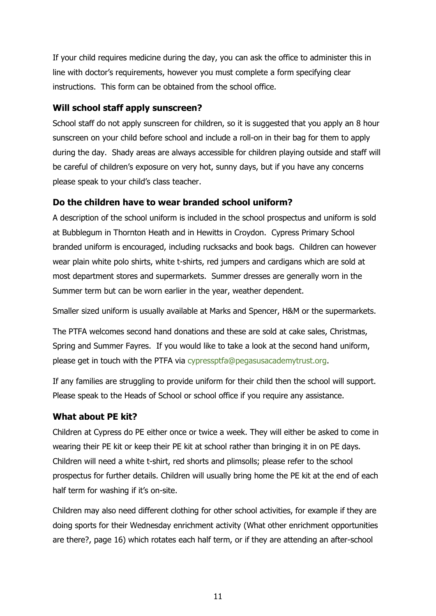If your child requires medicine during the day, you can ask the office to administer this in line with doctor's requirements, however you must complete a form specifying clear instructions. This form can be obtained from the school office.

# <span id="page-10-0"></span>**Will school staff apply sunscreen?**

School staff do not apply sunscreen for children, so it is suggested that you apply an 8 hour sunscreen on your child before school and include a roll-on in their bag for them to apply during the day. Shady areas are always accessible for children playing outside and staff will be careful of children's exposure on very hot, sunny days, but if you have any concerns please speak to your child's class teacher.

# <span id="page-10-1"></span>**Do the children have to wear branded school uniform?**

A description of the school uniform is included in the school prospectus and uniform is sold at Bubblegum in Thornton Heath and in Hewitts in Croydon. Cypress Primary School branded uniform is encouraged, including rucksacks and book bags. Children can however wear plain white polo shirts, white t-shirts, red jumpers and cardigans which are sold at most department stores and supermarkets. Summer dresses are generally worn in the Summer term but can be worn earlier in the year, weather dependent.

Smaller sized uniform is usually available at Marks and Spencer, H&M or the supermarkets.

The PTFA welcomes second hand donations and these are sold at cake sales, Christmas, Spring and Summer Fayres. If you would like to take a look at the second hand uniform, please get in touch with the PTFA via [cypressptfa@pegasusacademytrust.org.](about:blank)

If any families are struggling to provide uniform for their child then the school will support. Please speak to the Heads of School or school office if you require any assistance.

# <span id="page-10-2"></span>**What about PE kit?**

Children at Cypress do PE either once or twice a week. They will either be asked to come in wearing their PE kit or keep their PE kit at school rather than bringing it in on PE days. Children will need a white t-shirt, red shorts and plimsolls; please refer to the school prospectus for further details. Children will usually bring home the PE kit at the end of each half term for washing if it's on-site.

Children may also need different clothing for other school activities, for example if they are doing sports for their Wednesday enrichment activity (What other enrichment opportunities are there?, page 16) which rotates each half term, or if they are attending an after-school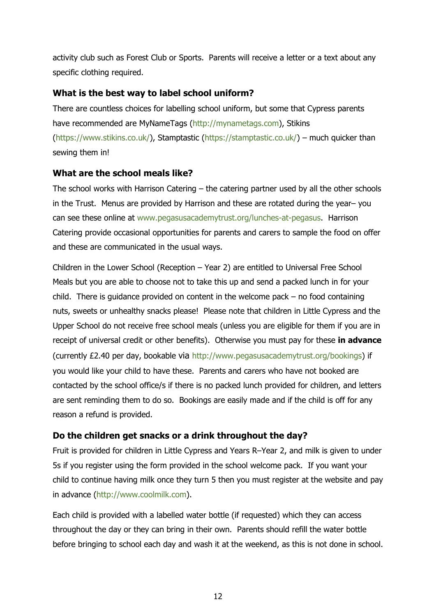activity club such as Forest Club or Sports. Parents will receive a letter or a text about any specific clothing required.

#### <span id="page-11-0"></span>**What is the best way to label school uniform?**

There are countless choices for labelling school uniform, but some that Cypress parents have recommended are MyNameTags [\(http://mynametags.com\)](about:blank), Stikins [\(https://www.stikins.co.uk/\)](about:blank), Stamptastic [\(https://stamptastic.co.uk/\)](about:blank) – much quicker than sewing them in!

#### <span id="page-11-1"></span>**What are the school meals like?**

The school works with Harrison Catering – the catering partner used by all the other schools in the Trust. Menus are provided by Harrison and these are rotated during the year– you can see these online at [www.pegasusacademytrust.org/lunches-at-pegasus.](http://www.pegasusacademytrust.org/lunches-at-pegasus) Harrison Catering provide occasional opportunities for parents and carers to sample the food on offer and these are communicated in the usual ways.

Children in the Lower School (Reception – Year 2) are entitled to Universal Free School Meals but you are able to choose not to take this up and send a packed lunch in for your child. There is guidance provided on content in the welcome pack  $-$  no food containing nuts, sweets or unhealthy snacks please! Please note that children in Little Cypress and the Upper School do not receive free school meals (unless you are eligible for them if you are in receipt of universal credit or other benefits). Otherwise you must pay for these **in advance** (currently £2.40 per day, bookable via [http://www.pegasusacademytrust.org/bookings\)](about:blank) if you would like your child to have these. Parents and carers who have not booked are contacted by the school office/s if there is no packed lunch provided for children, and letters are sent reminding them to do so. Bookings are easily made and if the child is off for any reason a refund is provided.

# <span id="page-11-2"></span>**Do the children get snacks or a drink throughout the day?**

Fruit is provided for children in Little Cypress and Years R–Year 2, and milk is given to under 5s if you register using the form provided in the school welcome pack. If you want your child to continue having milk once they turn 5 then you must register at the website and pay in advance [\(http://www.coolmilk.com\)](http://www.coolmilk.com/).

Each child is provided with a labelled water bottle (if requested) which they can access throughout the day or they can bring in their own. Parents should refill the water bottle before bringing to school each day and wash it at the weekend, as this is not done in school.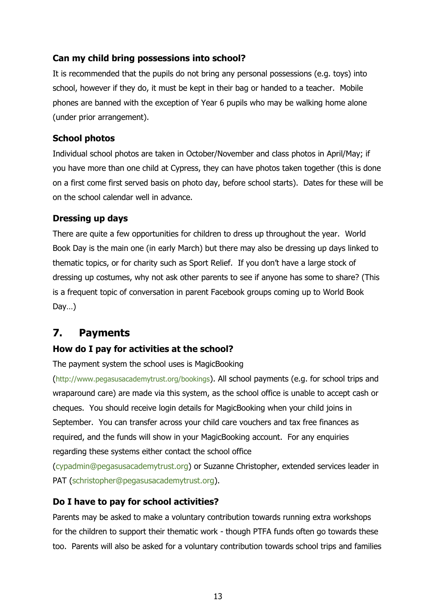# <span id="page-12-0"></span>**Can my child bring possessions into school?**

It is recommended that the pupils do not bring any personal possessions (e.g. toys) into school, however if they do, it must be kept in their bag or handed to a teacher. Mobile phones are banned with the exception of Year 6 pupils who may be walking home alone (under prior arrangement).

# <span id="page-12-1"></span>**School photos**

Individual school photos are taken in October/November and class photos in April/May; if you have more than one child at Cypress, they can have photos taken together (this is done on a first come first served basis on photo day, before school starts). Dates for these will be on the school calendar well in advance.

# <span id="page-12-2"></span>**Dressing up days**

There are quite a few opportunities for children to dress up throughout the year. World Book Day is the main one (in early March) but there may also be dressing up days linked to thematic topics, or for charity such as Sport Relief. If you don't have a large stock of dressing up costumes, why not ask other parents to see if anyone has some to share? (This is a frequent topic of conversation in parent Facebook groups coming up to World Book Day…)

# <span id="page-12-3"></span>**7. Payments**

# <span id="page-12-4"></span>**How do I pay for activities at the school?**

The payment system the school uses is MagicBooking

([http://www.pegasusacademytrust.org/bookings](about:blank)). All school payments (e.g. for school trips and wraparound care) are made via this system, as the school office is unable to accept cash or cheques. You should receive login details for MagicBooking when your child joins in September. You can transfer across your child care vouchers and tax free finances as required, and the funds will show in your MagicBooking account. For any enquiries regarding these systems either contact the school office

[\(cypadmin@pegasusacademytrust.org\)](about:blank) or Suzanne Christopher, extended services leader in PAT [\(schristopher@pegasusacademytrust.org\)](about:blank).

# <span id="page-12-5"></span>**Do I have to pay for school activities?**

Parents may be asked to make a voluntary contribution towards running extra workshops for the children to support their thematic work - though PTFA funds often go towards these too. Parents will also be asked for a voluntary contribution towards school trips and families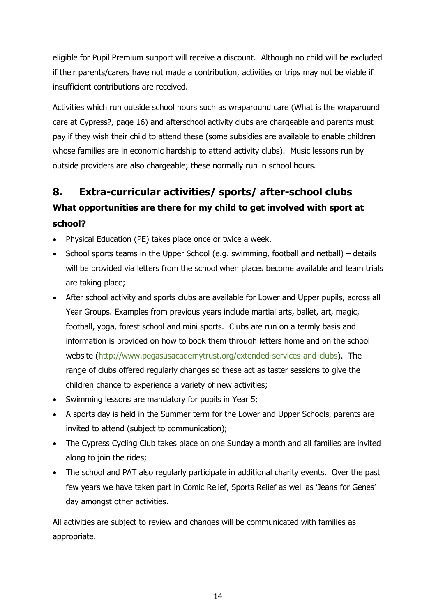eligible for Pupil Premium support will receive a discount. Although no child will be excluded if their parents/carers have not made a contribution, activities or trips may not be viable if insufficient contributions are received.

Activities which run outside school hours such as wraparound care (What is the wraparound care at Cypress?, page 16) and afterschool activity clubs are chargeable and parents must pay if they wish their child to attend these (some subsidies are available to enable children whose families are in economic hardship to attend activity clubs). Music lessons run by outside providers are also chargeable; these normally run in school hours.

# <span id="page-13-1"></span><span id="page-13-0"></span>**8. Extra-curricular activities/ sports/ after-school clubs What opportunities are there for my child to get involved with sport at school?**

- Physical Education (PE) takes place once or twice a week.
- $\bullet$  School sports teams in the Upper School (e.g. swimming, football and netball) details will be provided via letters from the school when places become available and team trials are taking place;
- After school activity and sports clubs are available for Lower and Upper pupils, across all Year Groups. Examples from previous years include martial arts, ballet, art, magic, football, yoga, forest school and mini sports. Clubs are run on a termly basis and information is provided on how to book them through letters home and on the school website [\(http://www.pegasusacademytrust.org/extended-services-and-clubs\)](about:blank). The range of clubs offered regularly changes so these act as taster sessions to give the children chance to experience a variety of new activities;
- Swimming lessons are mandatory for pupils in Year 5;
- A sports day is held in the Summer term for the Lower and Upper Schools, parents are invited to attend (subject to communication);
- The Cypress Cycling Club takes place on one Sunday a month and all families are invited along to join the rides;
- The school and PAT also regularly participate in additional charity events. Over the past few years we have taken part in Comic Relief, Sports Relief as well as 'Jeans for Genes' day amongst other activities.

All activities are subject to review and changes will be communicated with families as appropriate.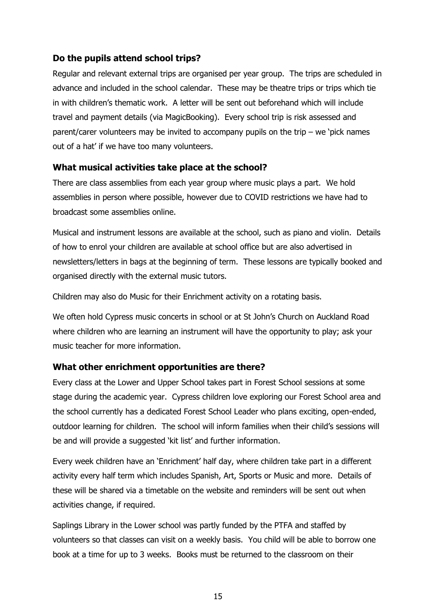# <span id="page-14-0"></span>**Do the pupils attend school trips?**

Regular and relevant external trips are organised per year group. The trips are scheduled in advance and included in the school calendar. These may be theatre trips or trips which tie in with children's thematic work. A letter will be sent out beforehand which will include travel and payment details (via MagicBooking). Every school trip is risk assessed and parent/carer volunteers may be invited to accompany pupils on the trip – we 'pick names out of a hat' if we have too many volunteers.

#### <span id="page-14-1"></span>**What musical activities take place at the school?**

There are class assemblies from each year group where music plays a part. We hold assemblies in person where possible, however due to COVID restrictions we have had to broadcast some assemblies online.

Musical and instrument lessons are available at the school, such as piano and violin. Details of how to enrol your children are available at school office but are also advertised in newsletters/letters in bags at the beginning of term. These lessons are typically booked and organised directly with the external music tutors.

Children may also do Music for their Enrichment activity on a rotating basis.

We often hold Cypress music concerts in school or at St John's Church on Auckland Road where children who are learning an instrument will have the opportunity to play; ask your music teacher for more information.

#### <span id="page-14-2"></span>**What other enrichment opportunities are there?**

Every class at the Lower and Upper School takes part in Forest School sessions at some stage during the academic year. Cypress children love exploring our Forest School area and the school currently has a dedicated Forest School Leader who plans exciting, open-ended, outdoor learning for children. The school will inform families when their child's sessions will be and will provide a suggested 'kit list' and further information.

Every week children have an 'Enrichment' half day, where children take part in a different activity every half term which includes Spanish, Art, Sports or Music and more. Details of these will be shared via a timetable on the website and reminders will be sent out when activities change, if required.

Saplings Library in the Lower school was partly funded by the PTFA and staffed by volunteers so that classes can visit on a weekly basis. You child will be able to borrow one book at a time for up to 3 weeks. Books must be returned to the classroom on their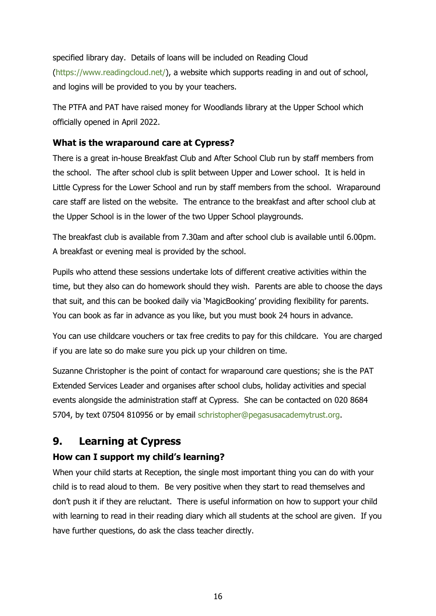specified library day. Details of loans will be included on Reading Cloud [\(https://www.readingcloud.net/\)](about:blank), a website which supports reading in and out of school, and logins will be provided to you by your teachers.

The PTFA and PAT have raised money for Woodlands library at the Upper School which officially opened in April 2022.

# <span id="page-15-0"></span>**What is the wraparound care at Cypress?**

There is a great in-house Breakfast Club and After School Club run by staff members from the school. The after school club is split between Upper and Lower school. It is held in Little Cypress for the Lower School and run by staff members from the school. Wraparound care staff are listed on the website. The entrance to the breakfast and after school club at the Upper School is in the lower of the two Upper School playgrounds.

The breakfast club is available from 7.30am and after school club is available until 6.00pm. A breakfast or evening meal is provided by the school.

Pupils who attend these sessions undertake lots of different creative activities within the time, but they also can do homework should they wish. Parents are able to choose the days that suit, and this can be booked daily via 'MagicBooking' providing flexibility for parents. You can book as far in advance as you like, but you must book 24 hours in advance.

You can use childcare vouchers or tax free credits to pay for this childcare. You are charged if you are late so do make sure you pick up your children on time.

Suzanne Christopher is the point of contact for wraparound care questions; she is the PAT Extended Services Leader and organises after school clubs, holiday activities and special events alongside the administration staff at Cypress. She can be contacted on 020 8684 5704, by text 07504 810956 or by email [schristopher@pegasusacademytrust.org.](about:blank)

# <span id="page-15-1"></span>**9. Learning at Cypress**

# <span id="page-15-2"></span>**How can I support my child's learning?**

When your child starts at Reception, the single most important thing you can do with your child is to read aloud to them. Be very positive when they start to read themselves and don't push it if they are reluctant. There is useful information on how to support your child with learning to read in their reading diary which all students at the school are given. If you have further questions, do ask the class teacher directly.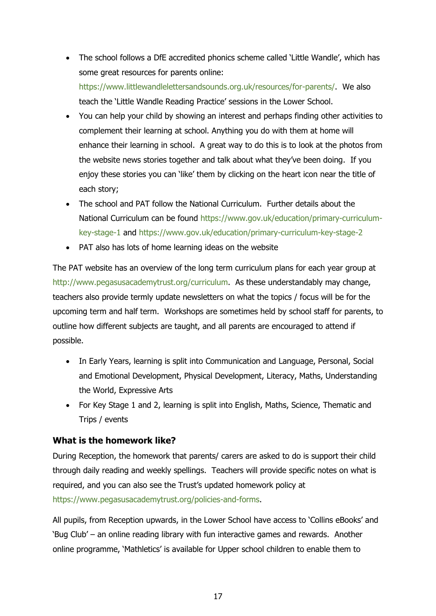• The school follows a DfE accredited phonics scheme called 'Little Wandle', which has some great resources for parents online:

[https://www.littlewandlelettersandsounds.org.uk/resources/for-parents/.](https://www.littlewandlelettersandsounds.org.uk/resources/for-parents/) We also teach the 'Little Wandle Reading Practice' sessions in the Lower School.

- You can help your child by showing an interest and perhaps finding other activities to complement their learning at school. Anything you do with them at home will enhance their learning in school. A great way to do this is to look at the photos from the website news stories together and talk about what they've been doing. If you enjoy these stories you can 'like' them by clicking on the heart icon near the title of each story;
- The school and PAT follow the National Curriculum. Further details about the National Curriculum can be found [https://www.gov.uk/education/primary-curriculum](about:blank)[key-stage-1](about:blank) and [https://www.gov.uk/education/primary-curriculum-key-stage-2](about:blank)
- PAT also has lots of home learning ideas on the website

The PAT website has an overview of the long term curriculum plans for each year group at [http://www.pegasusacademytrust.org/curriculum.](about:blank) As these understandably may change, teachers also provide termly update newsletters on what the topics / focus will be for the upcoming term and half term. Workshops are sometimes held by school staff for parents, to outline how different subjects are taught, and all parents are encouraged to attend if possible.

- In Early Years, learning is split into Communication and Language, Personal, Social and Emotional Development, Physical Development, Literacy, Maths, Understanding the World, Expressive Arts
- For Key Stage 1 and 2, learning is split into English, Maths, Science, Thematic and Trips / events

# <span id="page-16-0"></span>**What is the homework like?**

During Reception, the homework that parents/ carers are asked to do is support their child through daily reading and weekly spellings. Teachers will provide specific notes on what is required, and you can also see the Trust's updated homework policy at [https://www.pegasusacademytrust.org/policies-and-forms.](about:blank)

All pupils, from Reception upwards, in the Lower School have access to 'Collins eBooks' and 'Bug Club' – an online reading library with fun interactive games and rewards. Another online programme, 'Mathletics' is available for Upper school children to enable them to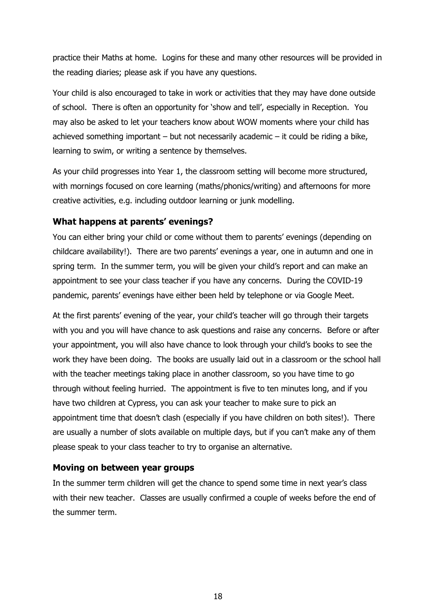practice their Maths at home. Logins for these and many other resources will be provided in the reading diaries; please ask if you have any questions.

Your child is also encouraged to take in work or activities that they may have done outside of school. There is often an opportunity for 'show and tell', especially in Reception. You may also be asked to let your teachers know about WOW moments where your child has achieved something important – but not necessarily academic – it could be riding a bike, learning to swim, or writing a sentence by themselves.

As your child progresses into Year 1, the classroom setting will become more structured, with mornings focused on core learning (maths/phonics/writing) and afternoons for more creative activities, e.g. including outdoor learning or junk modelling.

#### <span id="page-17-0"></span>**What happens at parents' evenings?**

You can either bring your child or come without them to parents' evenings (depending on childcare availability!). There are two parents' evenings a year, one in autumn and one in spring term. In the summer term, you will be given your child's report and can make an appointment to see your class teacher if you have any concerns. During the COVID-19 pandemic, parents' evenings have either been held by telephone or via Google Meet.

At the first parents' evening of the year, your child's teacher will go through their targets with you and you will have chance to ask questions and raise any concerns. Before or after your appointment, you will also have chance to look through your child's books to see the work they have been doing. The books are usually laid out in a classroom or the school hall with the teacher meetings taking place in another classroom, so you have time to go through without feeling hurried. The appointment is five to ten minutes long, and if you have two children at Cypress, you can ask your teacher to make sure to pick an appointment time that doesn't clash (especially if you have children on both sites!). There are usually a number of slots available on multiple days, but if you can't make any of them please speak to your class teacher to try to organise an alternative.

# <span id="page-17-1"></span>**Moving on between year groups**

In the summer term children will get the chance to spend some time in next year's class with their new teacher. Classes are usually confirmed a couple of weeks before the end of the summer term.